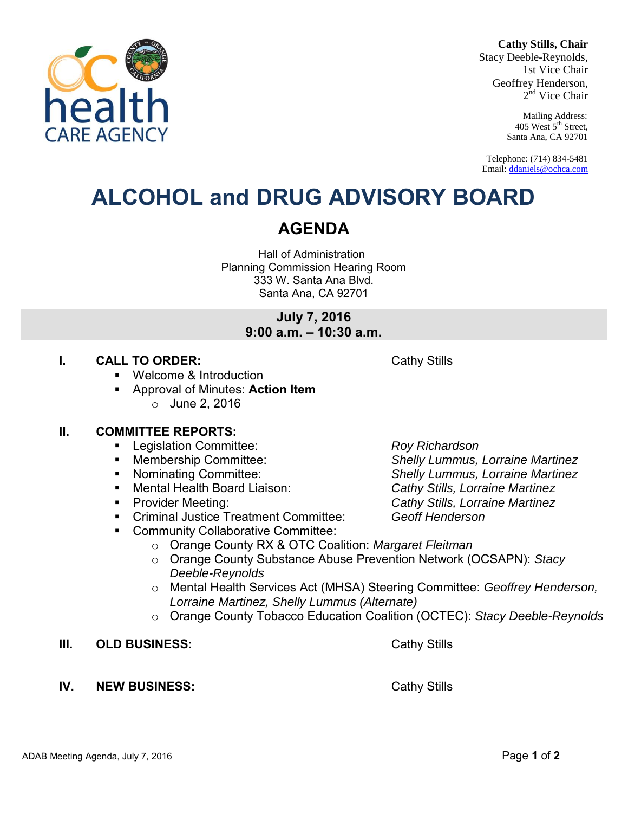#### **Cathy Stills, Chair**

Stacy Deeble-Reynolds, 1st Vice Chair Geoffrey Henderson, 2<sup>nd</sup> Vice Chair

> Mailing Address: 405 West 5<sup>th</sup> Street, Santa Ana, CA 92701

Telephone: (714) 834-5481 Email[: ddaniels@ochca.com](mailto:ddaniels@ochca.com)

# **ALCOHOL and DRUG ADVISORY BOARD**

## **AGENDA**

Hall of Administration Planning Commission Hearing Room 333 W. Santa Ana Blvd. Santa Ana, CA 92701

> **July 7, 2016 9:00 a.m. – 10:30 a.m.**

#### **I. CALL TO ORDER:** Cathy Stills

- Welcome & Introduction
- Approval of Minutes: **Action Item**   $\circ$  June 2, 2016

#### **II. COMMITTEE REPORTS:**

- Legislation Committee: *Roy Richardson*
- Membership Committee: *Shelly Lummus, Lorraine Martinez*
- Nominating Committee: *Shelly Lummus, Lorraine Martinez*
- Mental Health Board Liaison: *Cathy Stills, Lorraine Martinez*
- Provider Meeting: *Cathy Stills, Lorraine Martinez*
- Criminal Justice Treatment Committee: *Geoff Henderson*
- **EXECOMMUNITY Collaborative Committee:** 
	- o Orange County RX & OTC Coalition: *Margaret Fleitman*
	- o Orange County Substance Abuse Prevention Network (OCSAPN): *Stacy Deeble-Reynolds*
	- o Mental Health Services Act (MHSA) Steering Committee: *Geoffrey Henderson, Lorraine Martinez, Shelly Lummus (Alternate)*
	- o Orange County Tobacco Education Coalition (OCTEC): *Stacy Deeble-Reynolds*
- **III.** OLD BUSINESS: Cathy Stills
- **IV.** NEW BUSINESS: Cathy Stills

ADAB Meeting Agenda, July 7, 2016 Page **1** of **2**